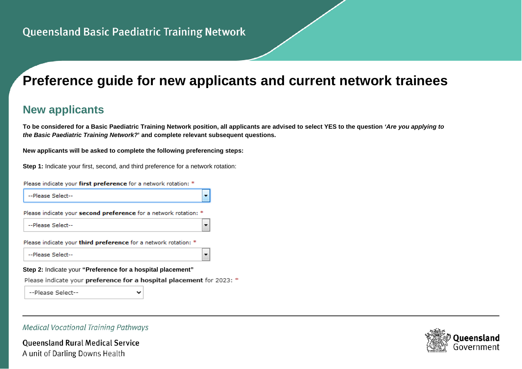# **Preference guide for new applicants and current network trainees**

# **New applicants**

**To be considered for a Basic Paediatric Training Network position, all applicants are advised to select YES to the question** *'Are you applying to the Basic Paediatric Training Network?***' and complete relevant subsequent questions.**

 $\overline{\phantom{a}}$ 

**New applicants will be asked to complete the following preferencing steps:**

**Step 1:** Indicate your first, second, and third preference for a network rotation:

Please indicate your first preference for a network rotation: \*

--Please Select--

Please indicate your second preference for a network rotation: \*

--Please Select--

Please indicate your third preference for a network rotation: \*

--Please Select--

**Step 2:** Indicate your **"Preference for a hospital placement"** 

Please indicate your preference for a hospital placement for 2023: \*

--Please Select--

#### **Medical Vocational Training Pathways**

**Oueensland Rural Medical Service** A unit of Darling Downs Health